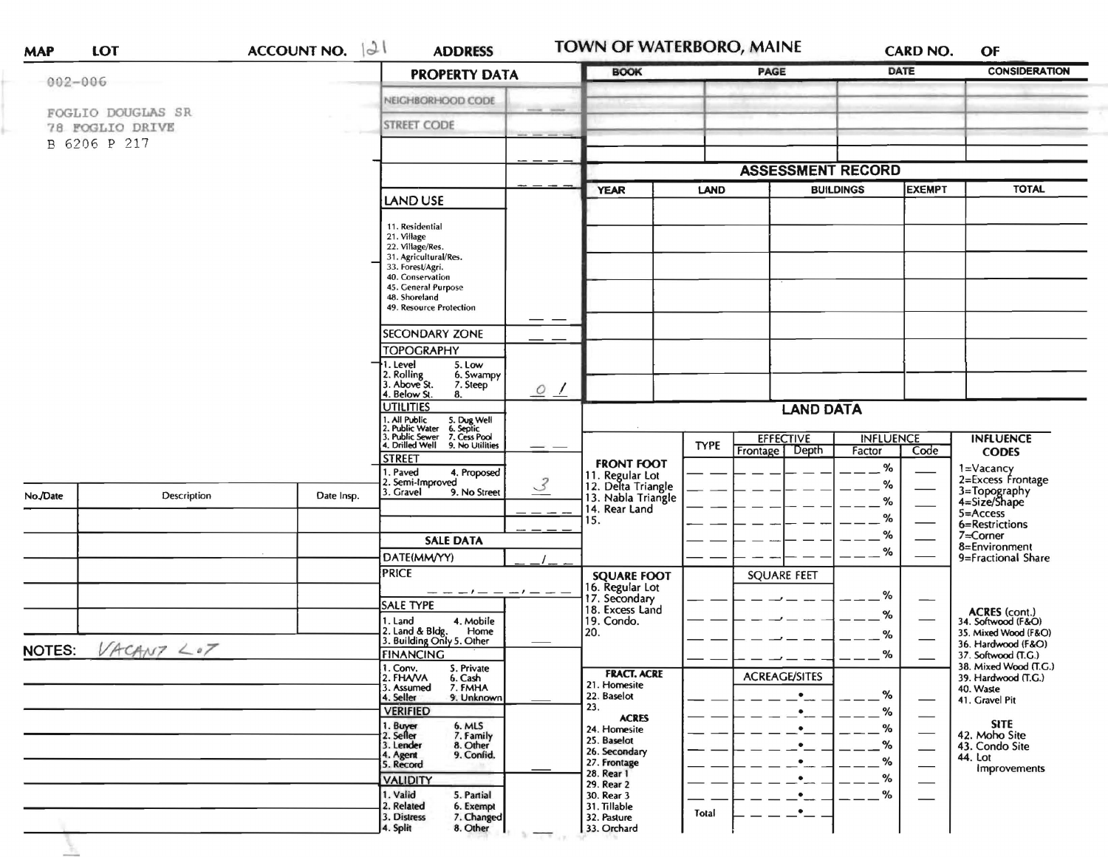| <b>MAP</b>            | LOT                                                  | ACCOUNT NO. $ \partial f $ | <b>ADDRESS</b>                                                                                                                                                                                                                                                                                                                                              |                | TOWN OF WATERBORO, MAINE                                    |             |                      |                  | CARD NO.                 | OF                                           |
|-----------------------|------------------------------------------------------|----------------------------|-------------------------------------------------------------------------------------------------------------------------------------------------------------------------------------------------------------------------------------------------------------------------------------------------------------------------------------------------------------|----------------|-------------------------------------------------------------|-------------|----------------------|------------------|--------------------------|----------------------------------------------|
|                       | $002 - 006$                                          |                            | <b>PROPERTY DATA</b>                                                                                                                                                                                                                                                                                                                                        |                | <b>BOOK</b>                                                 |             | PAGE                 |                  | DATE                     | <b>CONSIDERATION</b>                         |
|                       |                                                      |                            | NEIGHBORHOOD CODE                                                                                                                                                                                                                                                                                                                                           |                |                                                             |             |                      |                  |                          |                                              |
|                       | FOGLIO DOUGLAS SR<br>78 FOGLIO DRIVE<br>B 6206 P 217 |                            | <b>STREET CODE</b>                                                                                                                                                                                                                                                                                                                                          |                |                                                             |             |                      |                  |                          |                                              |
|                       |                                                      |                            |                                                                                                                                                                                                                                                                                                                                                             |                |                                                             |             |                      |                  |                          |                                              |
|                       |                                                      |                            |                                                                                                                                                                                                                                                                                                                                                             |                | <b>ASSESSMENT RECORD</b>                                    |             |                      |                  |                          |                                              |
|                       |                                                      |                            | LAND USE                                                                                                                                                                                                                                                                                                                                                    |                | <b>YEAR</b>                                                 | LAND        |                      | <b>BUILDINGS</b> | <b>EXEMPT</b>            | <b>TOTAL</b>                                 |
|                       |                                                      |                            | 11. Residential<br>21. Village<br>22. Village/Res.<br>31. Agricultural/Res.<br>33. Forest/Agri.<br>40. Conservation<br>45. General Purpose<br>48. Shoreland<br>49. Resource Protection<br><b>SECONDARY ZONE</b><br><b>TOPOGRAPHY</b><br>1. Level<br>5. Low<br>2. Rolling<br>3. Above St.<br>6. Swampy<br>7. Steep<br>4. Below St.<br>8.<br><b>UTILITIES</b> | $\circ$ /      |                                                             |             | <b>LAND DATA</b>     |                  |                          |                                              |
|                       |                                                      |                            | I. All Public<br>?. Public Water<br>}. Public Sewer<br>5. Dug Well<br>6. Septic<br>7. Cess Pool                                                                                                                                                                                                                                                             |                |                                                             |             | <b>EFFECTIVE</b>     | <b>INFLUENCE</b> |                          | <b>INFLUENCE</b>                             |
|                       |                                                      |                            | 4. Drilled Well<br>9. No Utilities<br><b>STREET</b>                                                                                                                                                                                                                                                                                                         |                |                                                             | <b>TYPE</b> | Frontage   Depth     | Factor           | Code                     | <b>CODES</b>                                 |
|                       |                                                      |                            | . Paved<br>4. Proposed<br>2. Semi-Improved                                                                                                                                                                                                                                                                                                                  |                | <b>FRONT FOOT</b>                                           |             |                      | %                |                          | 1=Vacancy<br>2=Excess Frontage               |
| No./Date              | Description                                          | Date Insp.                 | 9. No Street<br>3. Gravel                                                                                                                                                                                                                                                                                                                                   | $\overline{3}$ | 11. Regular Lot<br>12. Delta Triangle<br>13. Nabla Triangle |             |                      | %<br>%           |                          | 3=Topography<br>4=Size/Shape                 |
|                       |                                                      |                            |                                                                                                                                                                                                                                                                                                                                                             |                | 14. Rear Land<br>15.                                        |             |                      | %                |                          | 5=Access<br>6=Restrictions                   |
|                       |                                                      |                            | <b>SALE DATA</b>                                                                                                                                                                                                                                                                                                                                            |                |                                                             |             |                      | %                |                          | 7=Corner                                     |
|                       |                                                      |                            | DATE(MM/YY)                                                                                                                                                                                                                                                                                                                                                 |                |                                                             |             |                      | %                |                          | 8=Environment<br>9=Fractional Share          |
|                       |                                                      |                            | <b>PRICE</b>                                                                                                                                                                                                                                                                                                                                                |                | <b>SQUARE FOOT</b>                                          |             | <b>SQUARE FEET</b>   |                  |                          |                                              |
|                       |                                                      |                            | — — — I — — — — — —                                                                                                                                                                                                                                                                                                                                         |                | 16. Regular Lot                                             |             |                      |                  |                          |                                              |
|                       |                                                      |                            | <b>SALE TYPE</b>                                                                                                                                                                                                                                                                                                                                            |                | 17. Secondary<br>18. Excess Land                            |             |                      | %                |                          |                                              |
|                       |                                                      |                            | 1. Land<br>4. Mobile                                                                                                                                                                                                                                                                                                                                        |                | 19. Condo.                                                  |             |                      | %                |                          | ACRES (cont.)<br>34. Softwood (F&O)          |
|                       |                                                      |                            | 2. Land & Bldg.<br>Home<br>3. Building Only 5. Other                                                                                                                                                                                                                                                                                                        |                | 20.                                                         |             |                      | %                |                          | 35. Mixed Wood (F&O)<br>36. Hardwood (F&O)   |
| VACANT < 07<br>NOTES: |                                                      |                            | <b>FINANCING</b>                                                                                                                                                                                                                                                                                                                                            |                |                                                             |             |                      | %                |                          | 37. Softwood (T.G.)                          |
|                       |                                                      |                            | 1. Conv.<br>5. Private<br>2. FHAVA<br>6. Cash                                                                                                                                                                                                                                                                                                               |                | <b>FRACT. ACRE</b>                                          |             | <b>ACREAGE/SITES</b> |                  |                          | 38. Mixed Wood (T.G.)<br>39. Hardwood (T.G.) |
|                       |                                                      |                            | 3. Assumed<br>7. FMHA                                                                                                                                                                                                                                                                                                                                       |                | 21. Homesite<br>22. Baselot                                 |             |                      | %                |                          | 40. Waste                                    |
|                       |                                                      |                            | 4. Seller<br>9. Unknown<br><b>VERIFIED</b>                                                                                                                                                                                                                                                                                                                  |                | 23.                                                         |             |                      | %                |                          | 41. Gravel Pit                               |
|                       |                                                      |                            | 6. MLS                                                                                                                                                                                                                                                                                                                                                      |                | <b>ACRES</b>                                                |             |                      | %                | —                        | <b>SITE</b>                                  |
|                       |                                                      |                            | 1. Buyer<br>2. Seller<br>7. Family                                                                                                                                                                                                                                                                                                                          |                | 24. Homesite<br>25. Baselot                                 |             |                      |                  | $\overline{\phantom{0}}$ | 42. Moho Site                                |
|                       |                                                      |                            | 8. Other<br>3. Lender<br>9. Confid.<br>4. Agent                                                                                                                                                                                                                                                                                                             |                | 26. Secondary                                               |             | ٠                    | %                | —                        | 43. Condo Site<br>44. Lot                    |
|                       |                                                      |                            | 5. Record                                                                                                                                                                                                                                                                                                                                                   |                | 27. Frontage<br>28. Rear 1                                  |             | $\bullet$            | ℅                |                          | Improvements                                 |
|                       |                                                      |                            | <b>VALIDITY</b>                                                                                                                                                                                                                                                                                                                                             |                | 29. Rear 2                                                  |             | $\bullet$            | ℅                | $\overline{\phantom{0}}$ |                                              |
|                       |                                                      |                            | 1. Valid<br>5. Partial                                                                                                                                                                                                                                                                                                                                      |                | 30. Rear 3                                                  |             | $\bullet$            | %                |                          |                                              |
|                       |                                                      |                            | 2. Related<br>6. Exempt<br>7. Changed<br>3. Distress                                                                                                                                                                                                                                                                                                        |                | 31. Tillable<br>32. Pasture                                 | Total       | $ -$                 |                  |                          |                                              |
|                       |                                                      |                            | 8. Other<br>4. Split                                                                                                                                                                                                                                                                                                                                        |                | 33. Orchard                                                 |             |                      |                  |                          |                                              |

 $\overline{1}$